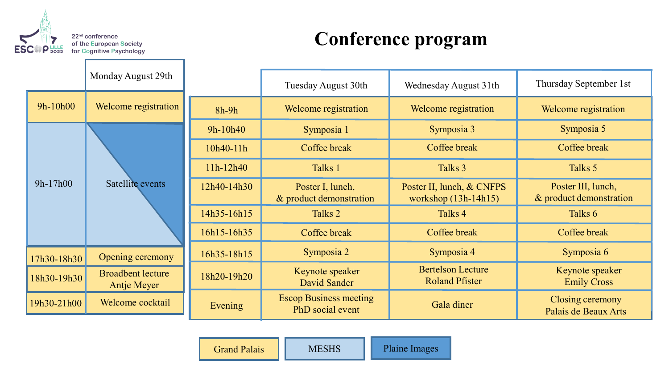

## **Conference program**

|             | Monday August 29th                      |             | Tuesday August 30th                               | Wednesday August 31th                               | Thursday September 1st                        |
|-------------|-----------------------------------------|-------------|---------------------------------------------------|-----------------------------------------------------|-----------------------------------------------|
| 9h-10h00    | Welcome registration                    | $8h-9h$     | Welcome registration                              | Welcome registration                                | Welcome registration                          |
| $9h-17h00$  | Satellite events                        | 9h-10h40    | Symposia 1                                        | Symposia 3                                          | Symposia 5                                    |
|             |                                         | 10h40-11h   | Coffee break                                      | Coffee break                                        | Coffee break                                  |
|             |                                         | $11h-12h40$ | Talks 1                                           | Talks 3                                             | Talks 5                                       |
|             |                                         | 12h40-14h30 | Poster I, lunch,<br>& product demonstration       | Poster II, lunch, & CNFPS<br>workshop $(13h-14h15)$ | Poster III, lunch,<br>& product demonstration |
|             |                                         | 14h35-16h15 | Talks <sub>2</sub>                                | Talks 4                                             | Talks 6                                       |
|             |                                         | 16h15-16h35 | Coffee break                                      | Coffee break                                        | Coffee break                                  |
| 17h30-18h30 | Opening ceremony                        | 16h35-18h15 | Symposia 2                                        | Symposia 4                                          | Symposia 6                                    |
| 18h30-19h30 | <b>Broadbent lecture</b><br>Antje Meyer | 18h20-19h20 | Keynote speaker<br>David Sander                   | <b>Bertelson Lecture</b><br><b>Roland Pfister</b>   | Keynote speaker<br><b>Emily Cross</b>         |
| 19h30-21h00 | Welcome cocktail                        | Evening     | <b>Escop Business meeting</b><br>PhD social event | Gala diner                                          | Closing ceremony<br>Palais de Beaux Arts      |